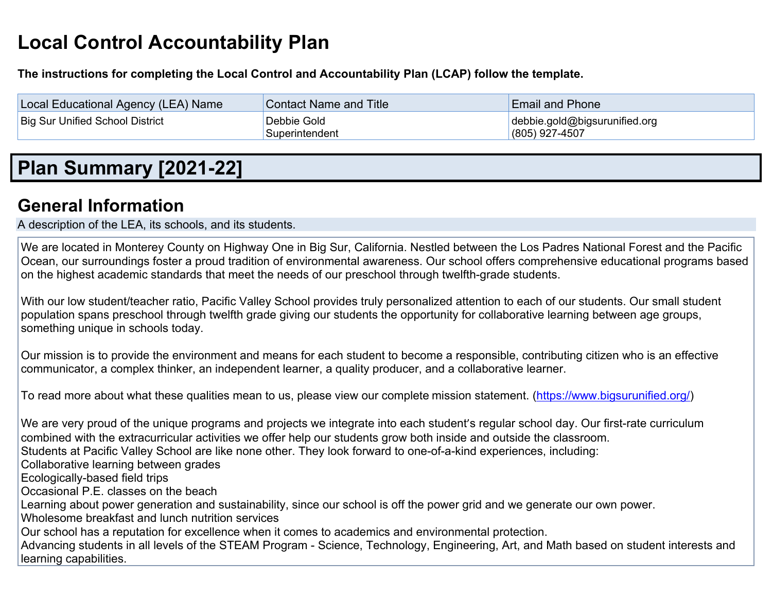# **Local Control Accountability Plan**

**The instructions for completing the Local Control and Accountability Plan (LCAP) follow the template.**

| Local Educational Agency (LEA) Name    | <b>Contact Name and Title</b> | <b>Email and Phone</b>        |
|----------------------------------------|-------------------------------|-------------------------------|
| <b>Big Sur Unified School District</b> | Debbie Gold                   | debbie.gold@bigsurunified.org |
|                                        | Superintendent                | $(805)$ 927-4507              |

## **Plan Summary [2021-22]**

## **General Information**

A description of the LEA, its schools, and its students.

We are located in Monterey County on Highway One in Big Sur, California. Nestled between the Los Padres National Forest and the Pacific Ocean, our surroundings foster a proud tradition of environmental awareness. Our school offers comprehensive educational programs based on the highest academic standards that meet the needs of our preschool through twelfth-grade students.

With our low student/teacher ratio, Pacific Valley School provides truly personalized attention to each of our students. Our small student population spans preschool through twelfth grade giving our students the opportunity for collaborative learning between age groups, something unique in schools today.

Our mission is to provide the environment and means for each student to become a responsible, contributing citizen who is an effective communicator, a complex thinker, an independent learner, a quality producer, and a collaborative learner.

To read more about what these qualities mean to us, please view our complete mission statement. (https://www.bigsurunified.org/)

We are very proud of the unique programs and projects we integrate into each student's regular school day. Our first-rate curriculum combined with the extracurricular activities we offer help our students grow both inside and outside the classroom. Students at Pacific Valley School are like none other. They look forward to one-of-a-kind experiences, including: Collaborative learning between grades Ecologically-based field trips Occasional P.E. classes on the beach Learning about power generation and sustainability, since our school is off the power grid and we generate our own power. Wholesome breakfast and lunch nutrition services Our school has a reputation for excellence when it comes to academics and environmental protection. Advancing students in all levels of the STEAM Program - Science, Technology, Engineering, Art, and Math based on student interests and learning capabilities.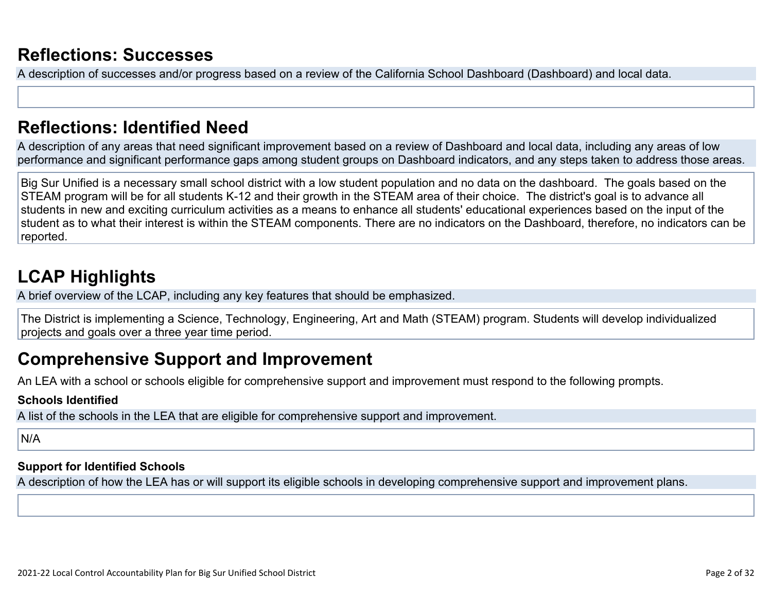### **Reflections: Successes**

A description of successes and/or progress based on a review of the California School Dashboard (Dashboard) and local data.

### **Reflections: Identified Need**

A description of any areas that need significant improvement based on a review of Dashboard and local data, including any areas of low performance and significant performance gaps among student groups on Dashboard indicators, and any steps taken to address those areas.

Big Sur Unified is a necessary small school district with a low student population and no data on the dashboard. The goals based on the STEAM program will be for all students K-12 and their growth in the STEAM area of their choice. The district's goal is to advance all students in new and exciting curriculum activities as a means to enhance all students' educational experiences based on the input of the student as to what their interest is within the STEAM components. There are no indicators on the Dashboard, therefore, no indicators can be reported.

## **LCAP Highlights**

A brief overview of the LCAP, including any key features that should be emphasized.

The District is implementing a Science, Technology, Engineering, Art and Math (STEAM) program. Students will develop individualized projects and goals over a three year time period.

### **Comprehensive Support and Improvement**

An LEA with a school or schools eligible for comprehensive support and improvement must respond to the following prompts.

#### **Schools Identified**

A list of the schools in the LEA that are eligible for comprehensive support and improvement.

### N/A

### **Support for Identified Schools**

A description of how the LEA has or will support its eligible schools in developing comprehensive support and improvement plans.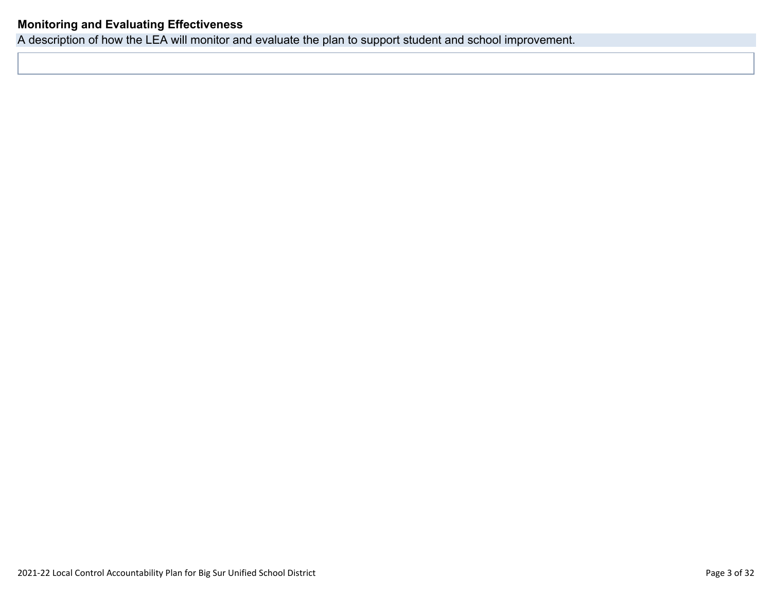### **Monitoring and Evaluating Effectiveness**

A description of how the LEA will monitor and evaluate the plan to support student and school improvement.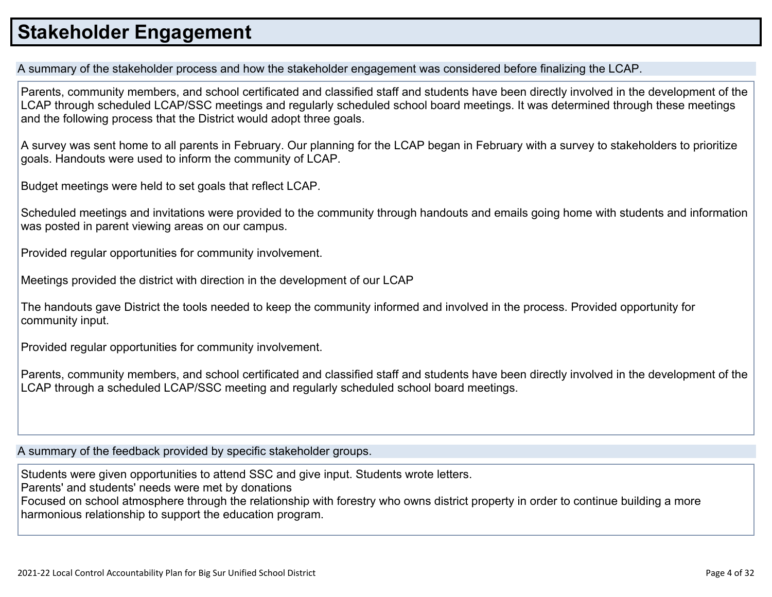## **Stakeholder Engagement**

A summary of the stakeholder process and how the stakeholder engagement was considered before finalizing the LCAP.

Parents, community members, and school certificated and classified staff and students have been directly involved in the development of the LCAP through scheduled LCAP/SSC meetings and regularly scheduled school board meetings. It was determined through these meetings and the following process that the District would adopt three goals.

A survey was sent home to all parents in February. Our planning for the LCAP began in February with a survey to stakeholders to prioritize goals. Handouts were used to inform the community of LCAP.

Budget meetings were held to set goals that reflect LCAP.

Scheduled meetings and invitations were provided to the community through handouts and emails going home with students and information was posted in parent viewing areas on our campus.

Provided regular opportunities for community involvement.

Meetings provided the district with direction in the development of our LCAP

The handouts gave District the tools needed to keep the community informed and involved in the process. Provided opportunity for community input.

Provided regular opportunities for community involvement.

Parents, community members, and school certificated and classified staff and students have been directly involved in the development of the LCAP through a scheduled LCAP/SSC meeting and regularly scheduled school board meetings.

A summary of the feedback provided by specific stakeholder groups.

Students were given opportunities to attend SSC and give input. Students wrote letters. Parents' and students' needs were met by donations

Focused on school atmosphere through the relationship with forestry who owns district property in order to continue building a more harmonious relationship to support the education program.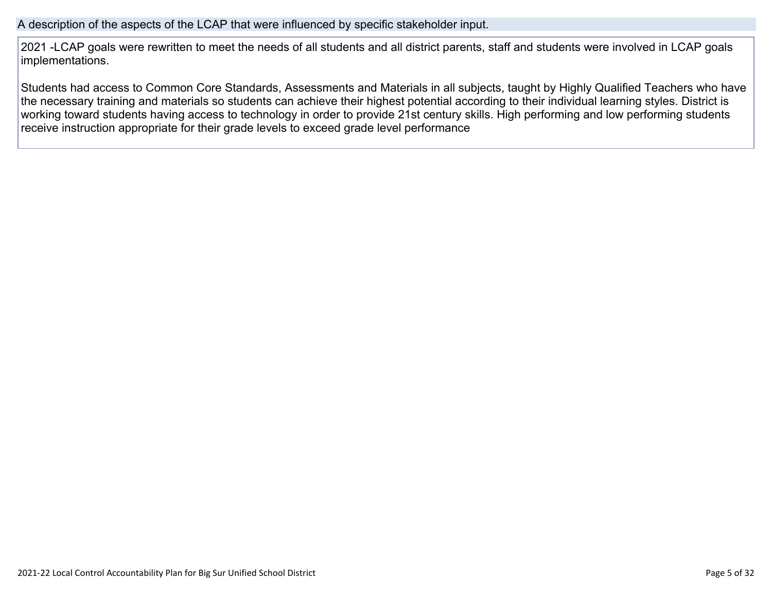#### A description of the aspects of the LCAP that were influenced by specific stakeholder input.

2021 -LCAP goals were rewritten to meet the needs of all students and all district parents, staff and students were involved in LCAP goals implementations.

Students had access to Common Core Standards, Assessments and Materials in all subjects, taught by Highly Qualified Teachers who have the necessary training and materials so students can achieve their highest potential according to their individual learning styles. District is working toward students having access to technology in order to provide 21st century skills. High performing and low performing students receive instruction appropriate for their grade levels to exceed grade level performance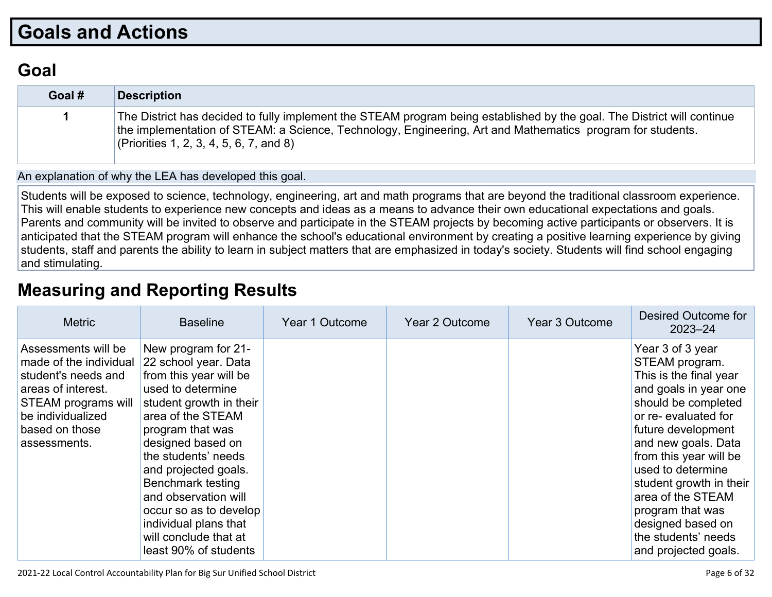## **Goals and Actions**

### **Goal**

| Goal # | <b>Description</b>                                                                                                                                                                                                                                                               |
|--------|----------------------------------------------------------------------------------------------------------------------------------------------------------------------------------------------------------------------------------------------------------------------------------|
|        | The District has decided to fully implement the STEAM program being established by the goal. The District will continue<br>the implementation of STEAM: a Science, Technology, Engineering, Art and Mathematics program for students.<br>(Priorities 1, 2, 3, 4, 5, 6, 7, and 8) |

An explanation of why the LEA has developed this goal.

Students will be exposed to science, technology, engineering, art and math programs that are beyond the traditional classroom experience. This will enable students to experience new concepts and ideas as a means to advance their own educational expectations and goals. Parents and community will be invited to observe and participate in the STEAM projects by becoming active participants or observers. It is anticipated that the STEAM program will enhance the school's educational environment by creating a positive learning experience by giving students, staff and parents the ability to learn in subject matters that are emphasized in today's society. Students will find school engaging and stimulating.

## **Measuring and Reporting Results**

| <b>Metric</b>                                                                                                                                                            | <b>Baseline</b>                                                                                                                                                                                                                                                                                                                                                                      | Year 1 Outcome | Year 2 Outcome | Year 3 Outcome | Desired Outcome for<br>$2023 - 24$                                                                                                                                                                                                                                                                                                                                      |
|--------------------------------------------------------------------------------------------------------------------------------------------------------------------------|--------------------------------------------------------------------------------------------------------------------------------------------------------------------------------------------------------------------------------------------------------------------------------------------------------------------------------------------------------------------------------------|----------------|----------------|----------------|-------------------------------------------------------------------------------------------------------------------------------------------------------------------------------------------------------------------------------------------------------------------------------------------------------------------------------------------------------------------------|
| Assessments will be<br>made of the individual<br>student's needs and<br>areas of interest.<br>STEAM programs will<br>be individualized<br>based on those<br>assessments. | New program for 21-<br>22 school year. Data<br>from this year will be<br>used to determine<br>student growth in their<br>area of the STEAM<br>program that was<br>designed based on<br>the students' needs<br>and projected goals.<br>Benchmark testing<br>and observation will<br>occur so as to develop<br>individual plans that<br>will conclude that at<br>least 90% of students |                |                |                | Year 3 of 3 year<br>STEAM program.<br>This is the final year<br>and goals in year one<br>should be completed<br>or re-evaluated for<br>future development<br>and new goals. Data<br>from this year will be<br>used to determine<br>student growth in their<br>area of the STEAM<br>program that was<br>designed based on<br>the students' needs<br>and projected goals. |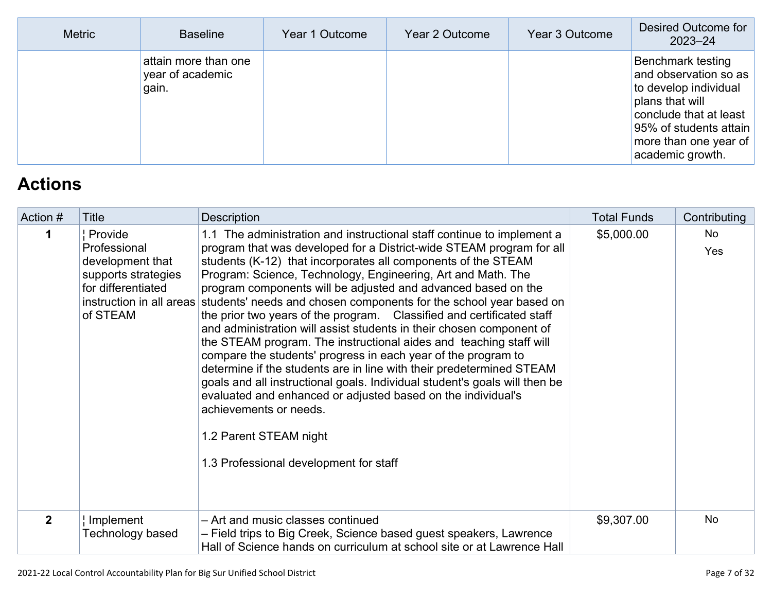| <b>Metric</b> | <b>Baseline</b>                                   | Year 1 Outcome | Year 2 Outcome | Year 3 Outcome | Desired Outcome for<br>$2023 - 24$                                                                                                                                                             |
|---------------|---------------------------------------------------|----------------|----------------|----------------|------------------------------------------------------------------------------------------------------------------------------------------------------------------------------------------------|
|               | attain more than one<br>year of academic<br>gain. |                |                |                | <b>Benchmark testing</b><br>and observation so as<br>to develop individual<br>plans that will<br>conclude that at least<br>95% of students attain<br>more than one year of<br>academic growth. |

# **Actions**

| Action #     | Title                                                                                                | <b>Description</b>                                                                                                                                                                                                                                                                                                                                                                                                                                                                                                                                                                                                                                                                                                                                                                                                                                                                                                                                                                                                                                          | <b>Total Funds</b> | Contributing |
|--------------|------------------------------------------------------------------------------------------------------|-------------------------------------------------------------------------------------------------------------------------------------------------------------------------------------------------------------------------------------------------------------------------------------------------------------------------------------------------------------------------------------------------------------------------------------------------------------------------------------------------------------------------------------------------------------------------------------------------------------------------------------------------------------------------------------------------------------------------------------------------------------------------------------------------------------------------------------------------------------------------------------------------------------------------------------------------------------------------------------------------------------------------------------------------------------|--------------------|--------------|
| 1            | Provide<br>Professional<br>development that<br>supports strategies<br>for differentiated<br>of STEAM | 1.1 The administration and instructional staff continue to implement a<br>program that was developed for a District-wide STEAM program for all<br>students (K-12) that incorporates all components of the STEAM<br>Program: Science, Technology, Engineering, Art and Math. The<br>program components will be adjusted and advanced based on the<br>instruction in all areas students' needs and chosen components for the school year based on<br>the prior two years of the program. Classified and certificated staff<br>and administration will assist students in their chosen component of<br>the STEAM program. The instructional aides and teaching staff will<br>compare the students' progress in each year of the program to<br>determine if the students are in line with their predetermined STEAM<br>goals and all instructional goals. Individual student's goals will then be<br>evaluated and enhanced or adjusted based on the individual's<br>achievements or needs.<br>1.2 Parent STEAM night<br>1.3 Professional development for staff | \$5,000.00         | No.<br>Yes   |
| $\mathbf{2}$ | Implement<br>Technology based                                                                        | - Art and music classes continued<br>- Field trips to Big Creek, Science based guest speakers, Lawrence<br>Hall of Science hands on curriculum at school site or at Lawrence Hall                                                                                                                                                                                                                                                                                                                                                                                                                                                                                                                                                                                                                                                                                                                                                                                                                                                                           | \$9,307.00         | <b>No</b>    |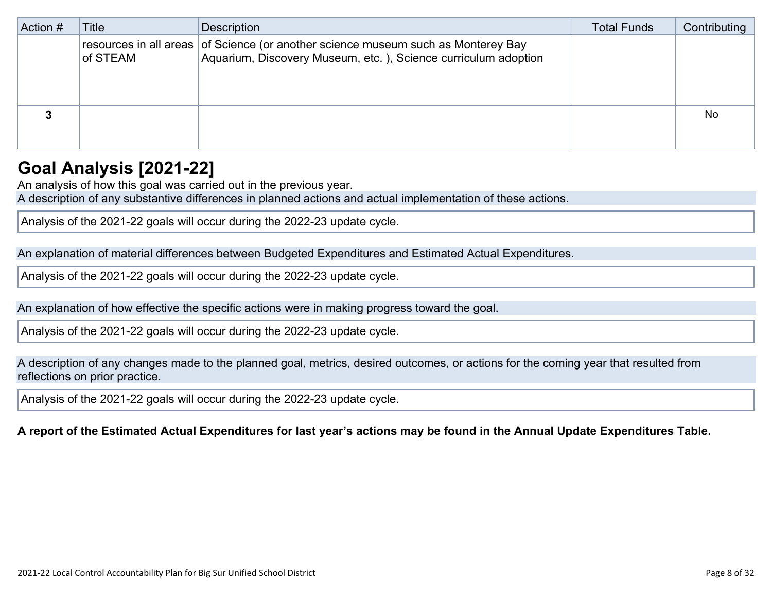| Action # | Title    | <b>Description</b>                                                                                                                                   | <b>Total Funds</b> | Contributing |
|----------|----------|------------------------------------------------------------------------------------------------------------------------------------------------------|--------------------|--------------|
|          | of STEAM | resources in all areas of Science (or another science museum such as Monterey Bay<br>Aquarium, Discovery Museum, etc. ), Science curriculum adoption |                    |              |
|          |          |                                                                                                                                                      |                    | <b>No</b>    |

## **Goal Analysis [2021-22]**

An analysis of how this goal was carried out in the previous year.

A description of any substantive differences in planned actions and actual implementation of these actions.

Analysis of the 2021-22 goals will occur during the 2022-23 update cycle.

An explanation of material differences between Budgeted Expenditures and Estimated Actual Expenditures.

Analysis of the 2021-22 goals will occur during the 2022-23 update cycle.

An explanation of how effective the specific actions were in making progress toward the goal.

Analysis of the 2021-22 goals will occur during the 2022-23 update cycle.

A description of any changes made to the planned goal, metrics, desired outcomes, or actions for the coming year that resulted from reflections on prior practice.

Analysis of the 2021-22 goals will occur during the 2022-23 update cycle.

### A report of the Estimated Actual Expenditures for last year's actions may be found in the Annual Update Expenditures Table.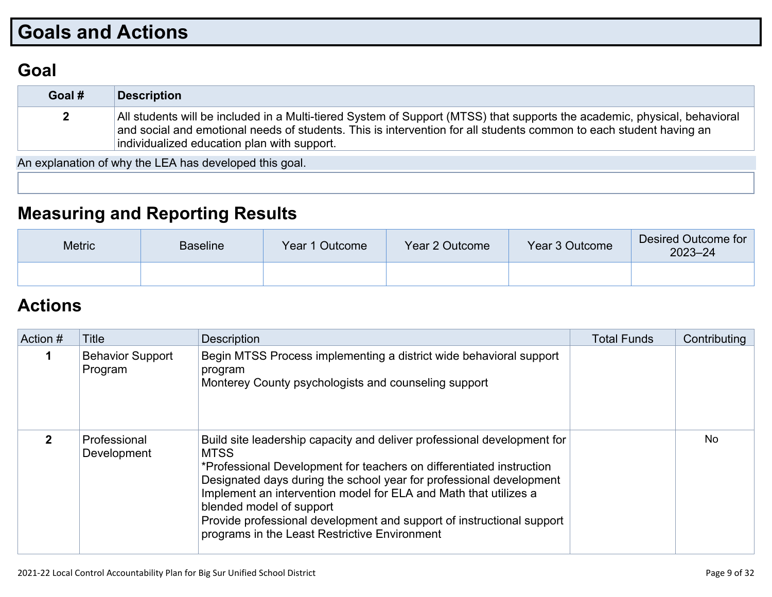# **Goals and Actions**

### **Goal**

| Goal #       | <b>Description</b>                                                                                                                                                                                                                                                                             |
|--------------|------------------------------------------------------------------------------------------------------------------------------------------------------------------------------------------------------------------------------------------------------------------------------------------------|
| $\mathbf{2}$ | All students will be included in a Multi-tiered System of Support (MTSS) that supports the academic, physical, behavioral<br>and social and emotional needs of students. This is intervention for all students common to each student having an<br>individualized education plan with support. |

An explanation of why the LEA has developed this goal.

## **Measuring and Reporting Results**

| <b>Metric</b> | <b>Baseline</b> | Year 1 Outcome | Year 2 Outcome | Year 3 Outcome | Desired Outcome for<br>$2023 - 24$ |
|---------------|-----------------|----------------|----------------|----------------|------------------------------------|
|               |                 |                |                |                |                                    |

## **Actions**

| Action # | <b>Title</b>                       | <b>Description</b>                                                                                                                                                                                                                                                                                                                                                                                                                                              | <b>Total Funds</b> | Contributing |
|----------|------------------------------------|-----------------------------------------------------------------------------------------------------------------------------------------------------------------------------------------------------------------------------------------------------------------------------------------------------------------------------------------------------------------------------------------------------------------------------------------------------------------|--------------------|--------------|
|          | <b>Behavior Support</b><br>Program | Begin MTSS Process implementing a district wide behavioral support<br>program<br>Monterey County psychologists and counseling support                                                                                                                                                                                                                                                                                                                           |                    |              |
| 2        | Professional<br>Development        | Build site leadership capacity and deliver professional development for<br><b>MTSS</b><br>*Professional Development for teachers on differentiated instruction<br>Designated days during the school year for professional development<br>Implement an intervention model for ELA and Math that utilizes a<br>blended model of support<br>Provide professional development and support of instructional support<br>programs in the Least Restrictive Environment |                    | No.          |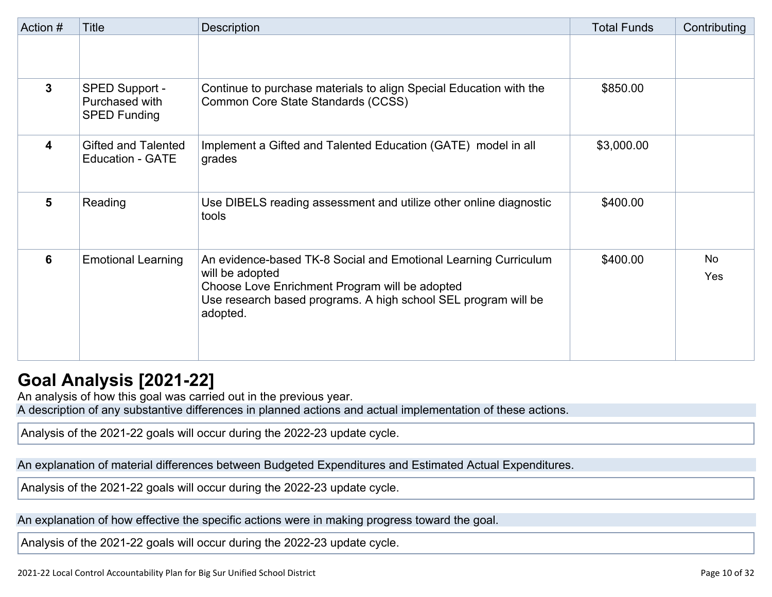| Action #     | <b>Title</b>                                            | <b>Description</b>                                                                                                                                                                                                 | <b>Total Funds</b> | Contributing     |
|--------------|---------------------------------------------------------|--------------------------------------------------------------------------------------------------------------------------------------------------------------------------------------------------------------------|--------------------|------------------|
|              |                                                         |                                                                                                                                                                                                                    |                    |                  |
| $\mathbf{3}$ | SPED Support -<br>Purchased with<br><b>SPED Funding</b> | Continue to purchase materials to align Special Education with the<br>Common Core State Standards (CCSS)                                                                                                           | \$850.00           |                  |
| 4            | <b>Gifted and Talented</b><br><b>Education - GATE</b>   | Implement a Gifted and Talented Education (GATE) model in all<br>grades                                                                                                                                            | \$3,000.00         |                  |
| 5            | Reading                                                 | Use DIBELS reading assessment and utilize other online diagnostic<br>tools                                                                                                                                         | \$400.00           |                  |
| 6            | <b>Emotional Learning</b>                               | An evidence-based TK-8 Social and Emotional Learning Curriculum<br>will be adopted<br>Choose Love Enrichment Program will be adopted<br>Use research based programs. A high school SEL program will be<br>adopted. | \$400.00           | <b>No</b><br>Yes |

### **Goal Analysis [2021-22]**

An analysis of how this goal was carried out in the previous year.

A description of any substantive differences in planned actions and actual implementation of these actions.

Analysis of the 2021-22 goals will occur during the 2022-23 update cycle.

An explanation of material differences between Budgeted Expenditures and Estimated Actual Expenditures.

Analysis of the 2021-22 goals will occur during the 2022-23 update cycle.

An explanation of how effective the specific actions were in making progress toward the goal.

Analysis of the 2021-22 goals will occur during the 2022-23 update cycle.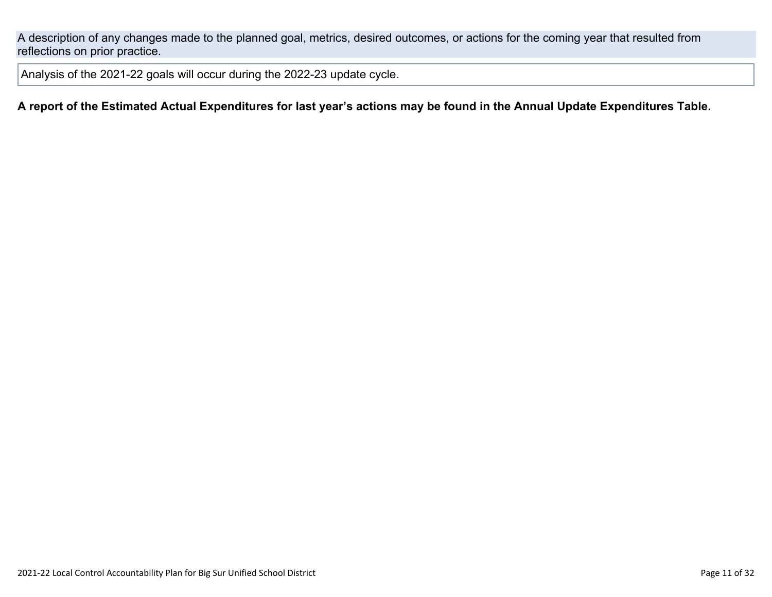A description of any changes made to the planned goal, metrics, desired outcomes, or actions for the coming year that resulted from reflections on prior practice.

Analysis of the 2021-22 goals will occur during the 2022-23 update cycle.

### A report of the Estimated Actual Expenditures for last year's actions may be found in the Annual Update Expenditures Table.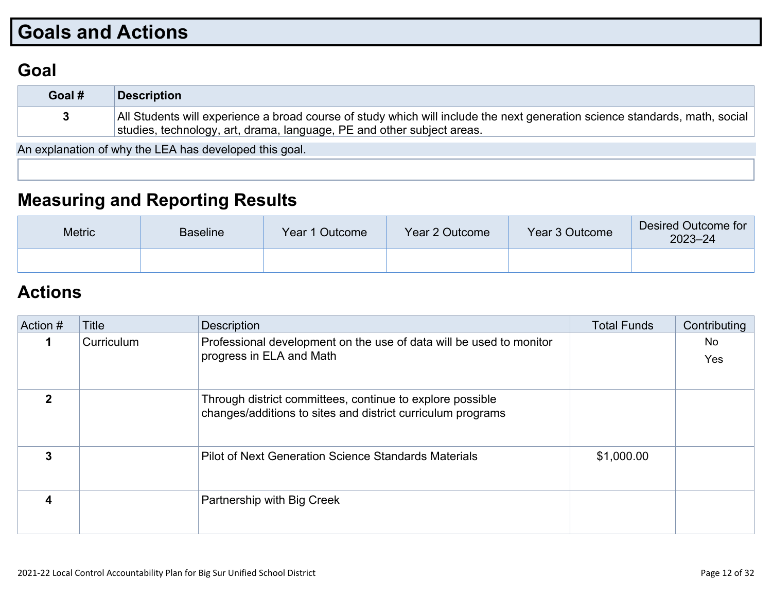# **Goals and Actions**

### **Goal**

| Goal # | Description                                                                                                                                                                                           |
|--------|-------------------------------------------------------------------------------------------------------------------------------------------------------------------------------------------------------|
|        | All Students will experience a broad course of study which will include the next generation science standards, math, social<br>studies, technology, art, drama, language, PE and other subject areas. |

An explanation of why the LEA has developed this goal.

## **Measuring and Reporting Results**

| <b>Metric</b> | <b>Baseline</b> | Year 1 Outcome | Year 2 Outcome | Year 3 Outcome | Desired Outcome for<br>$2023 - 24$ |
|---------------|-----------------|----------------|----------------|----------------|------------------------------------|
|               |                 |                |                |                |                                    |

### **Actions**

| Action # | Title      | <b>Description</b>                                                                                                       | <b>Total Funds</b> | Contributing |
|----------|------------|--------------------------------------------------------------------------------------------------------------------------|--------------------|--------------|
|          | Curriculum | Professional development on the use of data will be used to monitor<br>progress in ELA and Math                          |                    | No<br>Yes    |
|          |            | Through district committees, continue to explore possible<br>changes/additions to sites and district curriculum programs |                    |              |
| 3        |            | Pilot of Next Generation Science Standards Materials                                                                     | \$1,000.00         |              |
|          |            | Partnership with Big Creek                                                                                               |                    |              |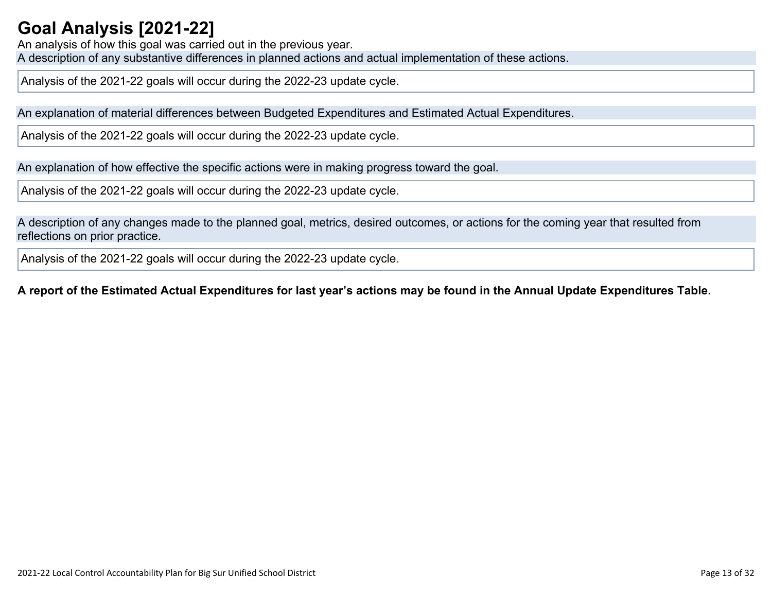## **Goal Analysis [2021-22]**

An analysis of how this goal was carried out in the previous year. A description of any substantive differences in planned actions and actual implementation of these actions.

Analysis of the 2021-22 goals will occur during the 2022-23 update cycle.

An explanation of material differences between Budgeted Expenditures and Estimated Actual Expenditures.

Analysis of the 2021-22 goals will occur during the 2022-23 update cycle.

An explanation of how effective the specific actions were in making progress toward the goal.

Analysis of the 2021-22 goals will occur during the 2022-23 update cycle.

A description of any changes made to the planned goal, metrics, desired outcomes, or actions for the coming year that resulted from reflections on prior practice.

Analysis of the 2021-22 goals will occur during the 2022-23 update cycle.

### A report of the Estimated Actual Expenditures for last year's actions may be found in the Annual Update Expenditures Table.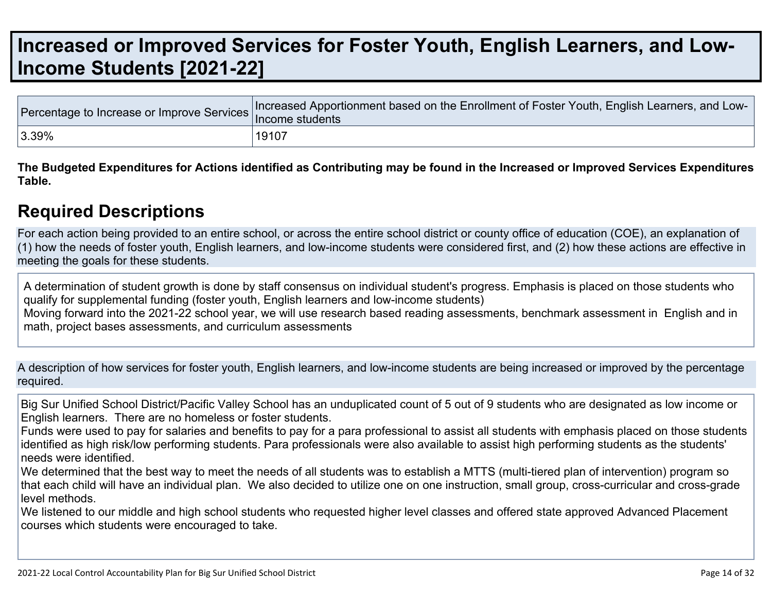# **Increased or Improved Services for Foster Youth, English Learners, and Low-Income Students [2021-22]**

|       | Torcentage to Increase or Improve Services Increased Apportionment based on the Enrollment of Foster Youth, English Learners, and Lotenty Income students |
|-------|-----------------------------------------------------------------------------------------------------------------------------------------------------------|
| 3.39% | 19107                                                                                                                                                     |

The Budgeted Expenditures for Actions identified as Contributing may be found in the Increased or Improved Services Expenditures **Table.**

### **Required Descriptions**

For each action being provided to an entire school, or across the entire school district or county office of education (COE), an explanation of (1) how the needs of foster youth, English learners, and low-income students were considered first, and (2) how these actions are effective in meeting the goals for these students.

A determination of student growth is done by staff consensus on individual student's progress. Emphasis is placed on those students who qualify for supplemental funding (foster youth, English learners and low-income students) Moving forward into the 2021-22 school year, we will use research based reading assessments, benchmark assessment in English and in math, project bases assessments, and curriculum assessments

A description of how services for foster youth, English learners, and low-income students are being increased or improved by the percentage required.

Big Sur Unified School District/Pacific Valley School has an unduplicated count of 5 out of 9 students who are designated as low income or English learners. There are no homeless or foster students.

Funds were used to pay for salaries and benefits to pay for a para professional to assist all students with emphasis placed on those students identified as high risk/low performing students. Para professionals were also available to assist high performing students as the students' needs were identified.

We determined that the best way to meet the needs of all students was to establish a MTTS (multi-tiered plan of intervention) program so that each child will have an individual plan. We also decided to utilize one on one instruction, small group, cross-curricular and cross-grade level methods.

We listened to our middle and high school students who requested higher level classes and offered state approved Advanced Placement courses which students were encouraged to take.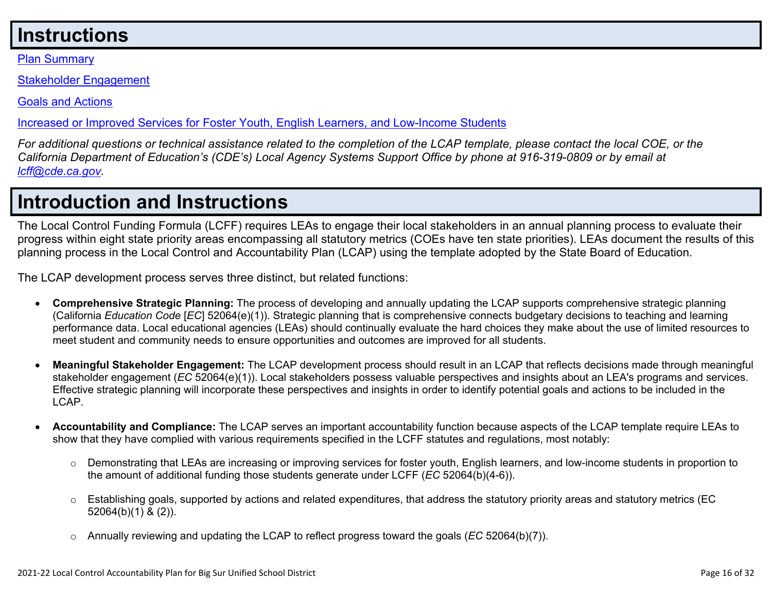## **Instructions**

Plan Summary

Stakeholder Engagement

Goals and Actions

Increased or Improved Services for Foster Youth, English Learners, and Low-Income Students

For additional questions or technical assistance related to the completion of the LCAP template, please contact the local COE, or the California Department of Education's (CDE's) Local Agency Systems Support Office by phone at 916-319-0809 or by email at *lcff@cde.ca.gov.*

# **Introduction and Instructions**

The Local Control Funding Formula (LCFF) requires LEAs to engage their local stakeholders in an annual planning process to evaluate their progress within eight state priority areas encompassing all statutory metrics (COEs have ten state priorities). LEAs document the results of this planning process in the Local Control and Accountability Plan (LCAP) using the template adopted by the State Board of Education.

The LCAP development process serves three distinct, but related functions:

- **Comprehensive Strategic Planning:** The process of developing and annually updating the LCAP supports comprehensive strategic planning (California *Education Code* [*EC*] 52064(e)(1)). Strategic planning that is comprehensive connects budgetary decisions to teaching and learning performance data. Local educational agencies (LEAs) should continually evaluate the hard choices they make about the use of limited resources to meet student and community needs to ensure opportunities and outcomes are improved for all students.
- **Meaningful Stakeholder Engagement:** The LCAP development process should result in an LCAP that reflects decisions made through meaningful stakeholder engagement (*EC* 52064(e)(1)). Local stakeholders possess valuable perspectives and insights about an LEA's programs and services. Effective strategic planning will incorporate these perspectives and insights in order to identify potential goals and actions to be included in the LCAP.
- **Accountability and Compliance:** The LCAP serves an important accountability function because aspects of the LCAP template require LEAs to show that they have complied with various requirements specified in the LCFF statutes and regulations, most notably:
	- o Demonstrating that LEAs are increasing or improving services for foster youth, English learners, and low-income students in proportion to the amount of additional funding those students generate under LCFF (*EC* 52064(b)(4-6)).
	- $\circ$  Establishing goals, supported by actions and related expenditures, that address the statutory priority areas and statutory metrics (EC 52064(b)(1) & (2)).
	- o Annually reviewing and updating the LCAP to reflect progress toward the goals (*EC* 52064(b)(7)).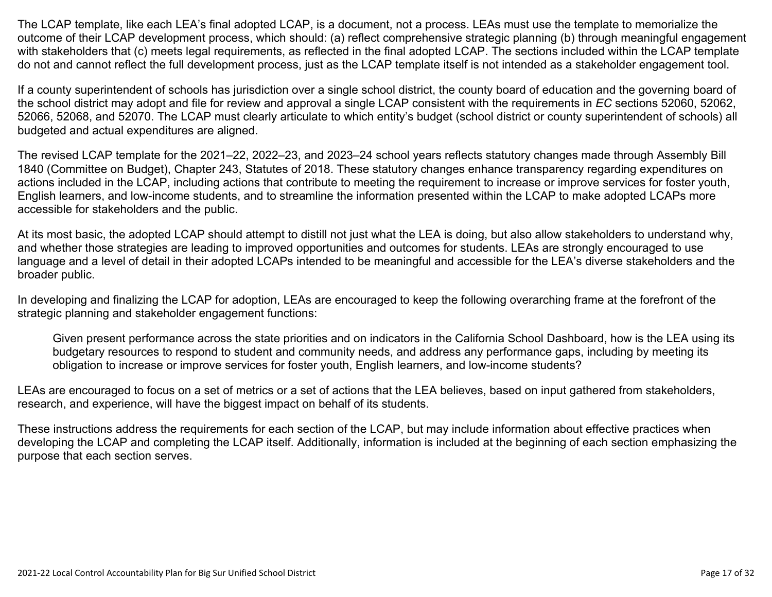The LCAP template, like each LEA's final adopted LCAP, is a document, not a process. LEAs must use the template to memorialize the outcome of their LCAP development process, which should: (a) reflect comprehensive strategic planning (b) through meaningful engagement with stakeholders that (c) meets legal requirements, as reflected in the final adopted LCAP. The sections included within the LCAP template do not and cannot reflect the full development process, just as the LCAP template itself is not intended as a stakeholder engagement tool.

If a county superintendent of schools has jurisdiction over a single school district, the county board of education and the governing board of the school district may adopt and file for review and approval a single LCAP consistent with the requirements in *EC* sections 52060, 52062, 52066, 52068, and 52070. The LCAP must clearly articulate to which entity's budget (school district or county superintendent of schools) all budgeted and actual expenditures are aligned.

The revised LCAP template for the 2021–22, 2022–23, and 2023–24 school years reflects statutory changes made through Assembly Bill 1840 (Committee on Budget), Chapter 243, Statutes of 2018. These statutory changes enhance transparency regarding expenditures on actions included in the LCAP, including actions that contribute to meeting the requirement to increase or improve services for foster youth, English learners, and low-income students, and to streamline the information presented within the LCAP to make adopted LCAPs more accessible for stakeholders and the public.

At its most basic, the adopted LCAP should attempt to distill not just what the LEA is doing, but also allow stakeholders to understand why, and whether those strategies are leading to improved opportunities and outcomes for students. LEAs are strongly encouraged to use language and a level of detail in their adopted LCAPs intended to be meaningful and accessible for the LEA's diverse stakeholders and the broader public.

In developing and finalizing the LCAP for adoption, LEAs are encouraged to keep the following overarching frame at the forefront of the strategic planning and stakeholder engagement functions:

Given present performance across the state priorities and on indicators in the California School Dashboard, how is the LEA using its budgetary resources to respond to student and community needs, and address any performance gaps, including by meeting its obligation to increase or improve services for foster youth, English learners, and low-income students?

LEAs are encouraged to focus on a set of metrics or a set of actions that the LEA believes, based on input gathered from stakeholders, research, and experience, will have the biggest impact on behalf of its students.

These instructions address the requirements for each section of the LCAP, but may include information about effective practices when developing the LCAP and completing the LCAP itself. Additionally, information is included at the beginning of each section emphasizing the purpose that each section serves.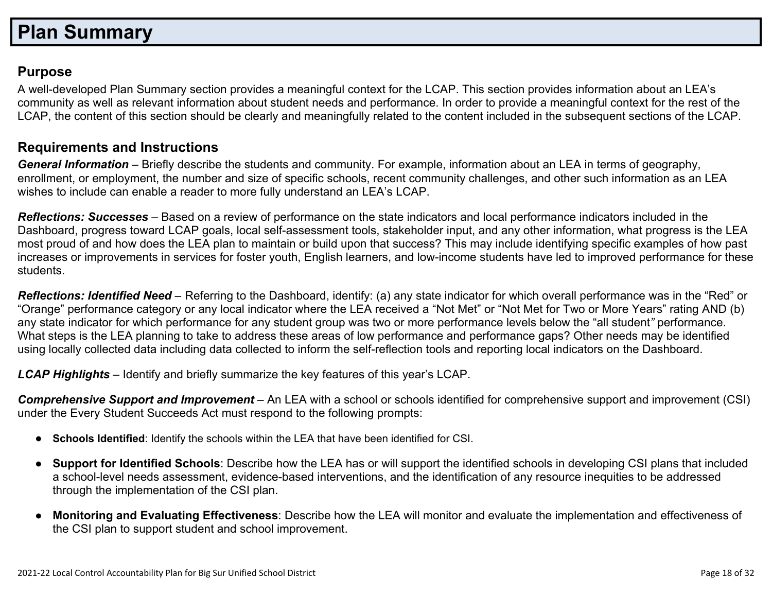## **Plan Summary**

### **Purpose**

A well-developed Plan Summary section provides a meaningful context for the LCAP. This section provides information about an LEA's community as well as relevant information about student needs and performance. In order to provide a meaningful context for the rest of the LCAP, the content of this section should be clearly and meaningfully related to the content included in the subsequent sections of the LCAP.

### **Requirements and Instructions**

*General Information* – Briefly describe the students and community. For example, information about an LEA in terms of geography, enrollment, or employment, the number and size of specific schools, recent community challenges, and other such information as an LEA wishes to include can enable a reader to more fully understand an LEA's LCAP.

*Reflections: Successes* – Based on a review of performance on the state indicators and local performance indicators included in the Dashboard, progress toward LCAP goals, local self-assessment tools, stakeholder input, and any other information, what progress is the LEA most proud of and how does the LEA plan to maintain or build upon that success? This may include identifying specific examples of how past increases or improvements in services for foster youth, English learners, and low-income students have led to improved performance for these students.

*Reflections: Identified Need* – Referring to the Dashboard, identify: (a) any state indicator for which overall performance was in the "Red" or "Orange" performance category or any local indicator where the LEA received a "Not Met" or "Not Met for Two or More Years" rating AND (b) any state indicator for which performance for any student group was two or more performance levels below the "all student*"* performance. What steps is the LEA planning to take to address these areas of low performance and performance gaps? Other needs may be identified using locally collected data including data collected to inform the self-reflection tools and reporting local indicators on the Dashboard.

*LCAP Highlights* – Identify and briefly summarize the key features of this year's LCAP.

*Comprehensive Support and Improvement* – An LEA with a school or schools identified for comprehensive support and improvement (CSI) under the Every Student Succeeds Act must respond to the following prompts:

- **Schools Identified**: Identify the schools within the LEA that have been identified for CSI.
- **Support for Identified Schools**: Describe how the LEA has or will support the identified schools in developing CSI plans that included a school-level needs assessment, evidence-based interventions, and the identification of any resource inequities to be addressed through the implementation of the CSI plan.
- **Monitoring and Evaluating Effectiveness**: Describe how the LEA will monitor and evaluate the implementation and effectiveness of the CSI plan to support student and school improvement.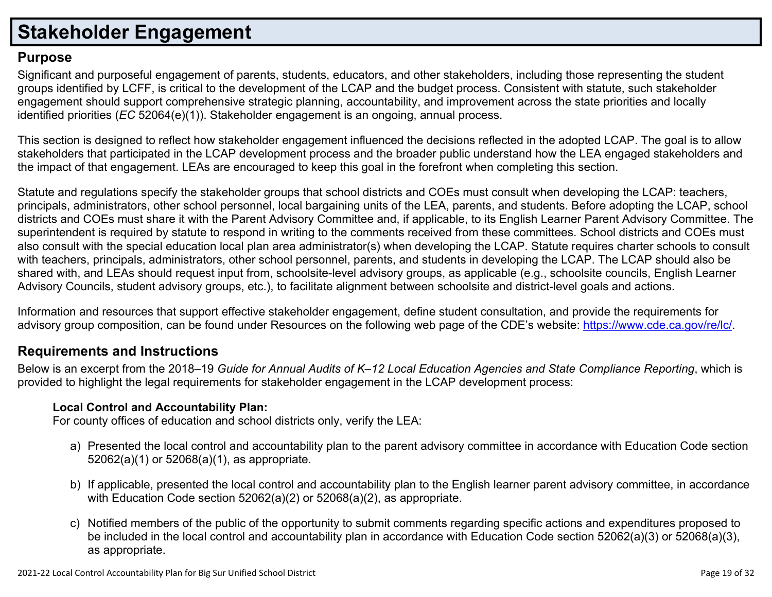# **Stakeholder Engagement**

### **Purpose**

Significant and purposeful engagement of parents, students, educators, and other stakeholders, including those representing the student groups identified by LCFF, is critical to the development of the LCAP and the budget process. Consistent with statute, such stakeholder engagement should support comprehensive strategic planning, accountability, and improvement across the state priorities and locally identified priorities (*EC* 52064(e)(1)). Stakeholder engagement is an ongoing, annual process.

This section is designed to reflect how stakeholder engagement influenced the decisions reflected in the adopted LCAP. The goal is to allow stakeholders that participated in the LCAP development process and the broader public understand how the LEA engaged stakeholders and the impact of that engagement. LEAs are encouraged to keep this goal in the forefront when completing this section.

Statute and regulations specify the stakeholder groups that school districts and COEs must consult when developing the LCAP: teachers, principals, administrators, other school personnel, local bargaining units of the LEA, parents, and students. Before adopting the LCAP, school districts and COEs must share it with the Parent Advisory Committee and, if applicable, to its English Learner Parent Advisory Committee. The superintendent is required by statute to respond in writing to the comments received from these committees. School districts and COEs must also consult with the special education local plan area administrator(s) when developing the LCAP. Statute requires charter schools to consult with teachers, principals, administrators, other school personnel, parents, and students in developing the LCAP. The LCAP should also be shared with, and LEAs should request input from, schoolsite-level advisory groups, as applicable (e.g., schoolsite councils, English Learner Advisory Councils, student advisory groups, etc.), to facilitate alignment between schoolsite and district-level goals and actions.

Information and resources that support effective stakeholder engagement, define student consultation, and provide the requirements for advisory group composition, can be found under Resources on the following web page of the CDE's website: https://www.cde.ca.gov/re/lc/.

### **Requirements and Instructions**

Below is an excerpt from the 2018–19 Guide for Annual Audits of K–12 Local Education Agencies and State Compliance Reporting, which is provided to highlight the legal requirements for stakeholder engagement in the LCAP development process:

### **Local Control and Accountability Plan:**

For county offices of education and school districts only, verify the LEA:

- a) Presented the local control and accountability plan to the parent advisory committee in accordance with Education Code section 52062(a)(1) or 52068(a)(1), as appropriate.
- b) If applicable, presented the local control and accountability plan to the English learner parent advisory committee, in accordance with Education Code section 52062(a)(2) or 52068(a)(2), as appropriate.
- c) Notified members of the public of the opportunity to submit comments regarding specific actions and expenditures proposed to be included in the local control and accountability plan in accordance with Education Code section 52062(a)(3) or 52068(a)(3), as appropriate.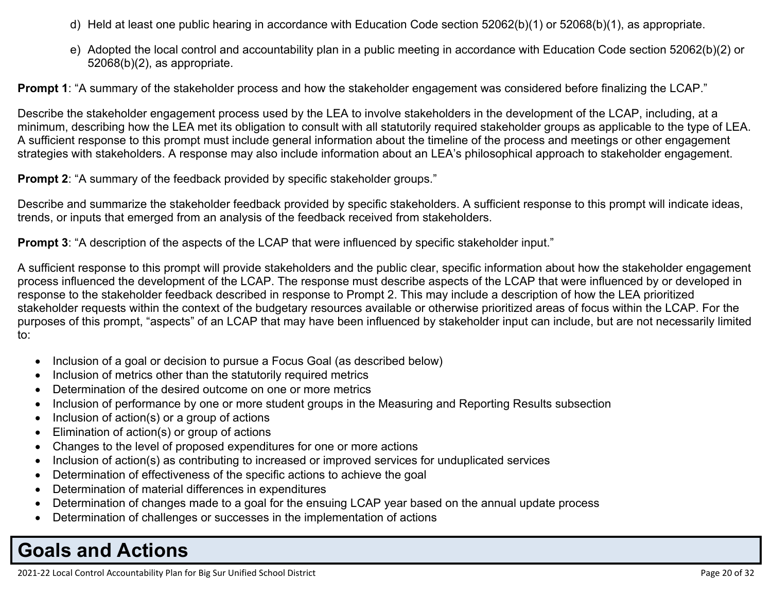- d) Held at least one public hearing in accordance with Education Code section 52062(b)(1) or 52068(b)(1), as appropriate.
- e) Adopted the local control and accountability plan in a public meeting in accordance with Education Code section 52062(b)(2) or 52068(b)(2), as appropriate.

**Prompt 1**: "A summary of the stakeholder process and how the stakeholder engagement was considered before finalizing the LCAP."

Describe the stakeholder engagement process used by the LEA to involve stakeholders in the development of the LCAP, including, at a minimum, describing how the LEA met its obligation to consult with all statutorily required stakeholder groups as applicable to the type of LEA. A sufficient response to this prompt must include general information about the timeline of the process and meetings or other engagement strategies with stakeholders. A response may also include information about an LEA's philosophical approach to stakeholder engagement.

**Prompt 2:** "A summary of the feedback provided by specific stakeholder groups."

Describe and summarize the stakeholder feedback provided by specific stakeholders. A sufficient response to this prompt will indicate ideas, trends, or inputs that emerged from an analysis of the feedback received from stakeholders.

**Prompt 3:** "A description of the aspects of the LCAP that were influenced by specific stakeholder input."

A sufficient response to this prompt will provide stakeholders and the public clear, specific information about how the stakeholder engagement process influenced the development of the LCAP. The response must describe aspects of the LCAP that were influenced by or developed in response to the stakeholder feedback described in response to Prompt 2. This may include a description of how the LEA prioritized stakeholder requests within the context of the budgetary resources available or otherwise prioritized areas of focus within the LCAP. For the purposes of this prompt, "aspects" of an LCAP that may have been influenced by stakeholder input can include, but are not necessarily limited to:

- Inclusion of a goal or decision to pursue a Focus Goal (as described below)
- Inclusion of metrics other than the statutorily required metrics
- Determination of the desired outcome on one or more metrics
- Inclusion of performance by one or more student groups in the Measuring and Reporting Results subsection
- $\bullet$  Inclusion of action(s) or a group of actions
- Elimination of action(s) or group of actions
- Changes to the level of proposed expenditures for one or more actions
- Inclusion of action(s) as contributing to increased or improved services for unduplicated services
- Determination of effectiveness of the specific actions to achieve the goal
- Determination of material differences in expenditures
- Determination of changes made to a goal for the ensuing LCAP year based on the annual update process
- Determination of challenges or successes in the implementation of actions

# **Goals and Actions**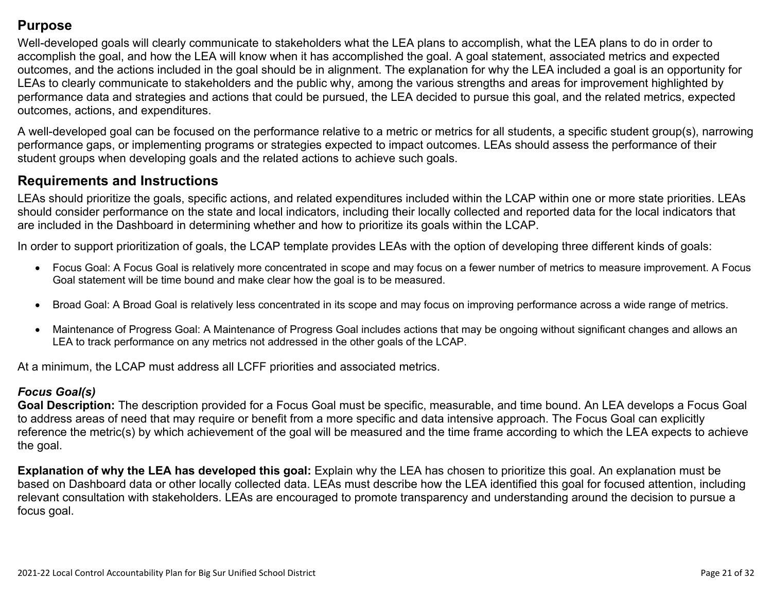### **Purpose**

Well-developed goals will clearly communicate to stakeholders what the LEA plans to accomplish, what the LEA plans to do in order to accomplish the goal, and how the LEA will know when it has accomplished the goal. A goal statement, associated metrics and expected outcomes, and the actions included in the goal should be in alignment. The explanation for why the LEA included a goal is an opportunity for LEAs to clearly communicate to stakeholders and the public why, among the various strengths and areas for improvement highlighted by performance data and strategies and actions that could be pursued, the LEA decided to pursue this goal, and the related metrics, expected outcomes, actions, and expenditures.

A well-developed goal can be focused on the performance relative to a metric or metrics for all students, a specific student group(s), narrowing performance gaps, or implementing programs or strategies expected to impact outcomes. LEAs should assess the performance of their student groups when developing goals and the related actions to achieve such goals.

### **Requirements and Instructions**

LEAs should prioritize the goals, specific actions, and related expenditures included within the LCAP within one or more state priorities. LEAs should consider performance on the state and local indicators, including their locally collected and reported data for the local indicators that are included in the Dashboard in determining whether and how to prioritize its goals within the LCAP.

In order to support prioritization of goals, the LCAP template provides LEAs with the option of developing three different kinds of goals:

- Focus Goal: A Focus Goal is relatively more concentrated in scope and may focus on a fewer number of metrics to measure improvement. A Focus Goal statement will be time bound and make clear how the goal is to be measured.
- Broad Goal: A Broad Goal is relatively less concentrated in its scope and may focus on improving performance across a wide range of metrics.
- Maintenance of Progress Goal: A Maintenance of Progress Goal includes actions that may be ongoing without significant changes and allows an LEA to track performance on any metrics not addressed in the other goals of the LCAP.

At a minimum, the LCAP must address all LCFF priorities and associated metrics.

### *Focus Goal(s)*

**Goal Description:** The description provided for a Focus Goal must be specific, measurable, and time bound. An LEA develops a Focus Goal to address areas of need that may require or benefit from a more specific and data intensive approach. The Focus Goal can explicitly reference the metric(s) by which achievement of the goal will be measured and the time frame according to which the LEA expects to achieve the goal.

**Explanation of why the LEA has developed this goal:** Explain why the LEA has chosen to prioritize this goal. An explanation must be based on Dashboard data or other locally collected data. LEAs must describe how the LEA identified this goal for focused attention, including relevant consultation with stakeholders. LEAs are encouraged to promote transparency and understanding around the decision to pursue a focus goal.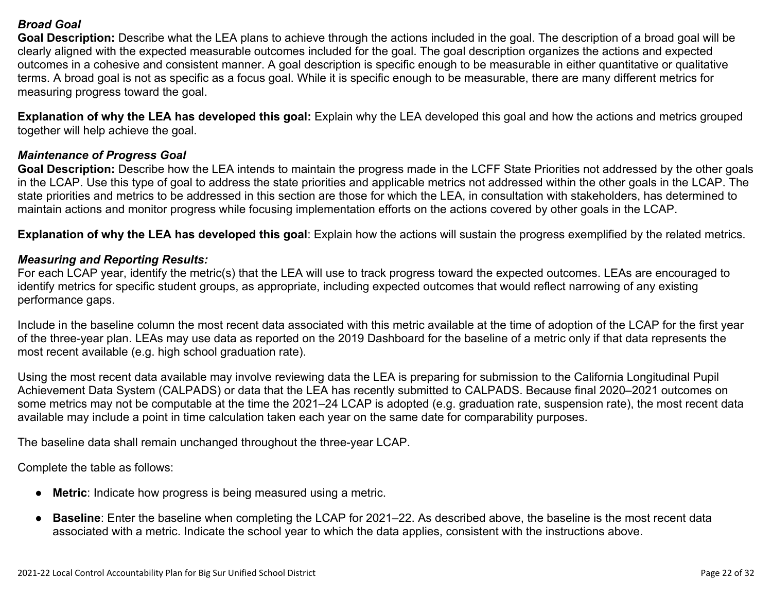#### *Broad Goal*

**Goal Description:** Describe what the LEA plans to achieve through the actions included in the goal. The description of a broad goal will be clearly aligned with the expected measurable outcomes included for the goal. The goal description organizes the actions and expected outcomes in a cohesive and consistent manner. A goal description is specific enough to be measurable in either quantitative or qualitative terms. A broad goal is not as specific as a focus goal. While it is specific enough to be measurable, there are many different metrics for measuring progress toward the goal.

**Explanation of why the LEA has developed this goal:** Explain why the LEA developed this goal and how the actions and metrics grouped together will help achieve the goal.

#### *Maintenance of Progress Goal*

**Goal Description:** Describe how the LEA intends to maintain the progress made in the LCFF State Priorities not addressed by the other goals in the LCAP. Use this type of goal to address the state priorities and applicable metrics not addressed within the other goals in the LCAP. The state priorities and metrics to be addressed in this section are those for which the LEA, in consultation with stakeholders, has determined to maintain actions and monitor progress while focusing implementation efforts on the actions covered by other goals in the LCAP.

**Explanation of why the LEA has developed this goal**: Explain how the actions will sustain the progress exemplified by the related metrics.

#### *Measuring and Reporting Results:*

For each LCAP year, identify the metric(s) that the LEA will use to track progress toward the expected outcomes. LEAs are encouraged to identify metrics for specific student groups, as appropriate, including expected outcomes that would reflect narrowing of any existing performance gaps.

Include in the baseline column the most recent data associated with this metric available at the time of adoption of the LCAP for the first year of the three-year plan. LEAs may use data as reported on the 2019 Dashboard for the baseline of a metric only if that data represents the most recent available (e.g. high school graduation rate).

Using the most recent data available may involve reviewing data the LEA is preparing for submission to the California Longitudinal Pupil Achievement Data System (CALPADS) or data that the LEA has recently submitted to CALPADS. Because final 2020–2021 outcomes on some metrics may not be computable at the time the 2021–24 LCAP is adopted (e.g. graduation rate, suspension rate), the most recent data available may include a point in time calculation taken each year on the same date for comparability purposes.

The baseline data shall remain unchanged throughout the three-year LCAP.

Complete the table as follows:

- **Metric**: Indicate how progress is being measured using a metric.
- **Baseline**: Enter the baseline when completing the LCAP for 2021–22. As described above, the baseline is the most recent data associated with a metric. Indicate the school year to which the data applies, consistent with the instructions above.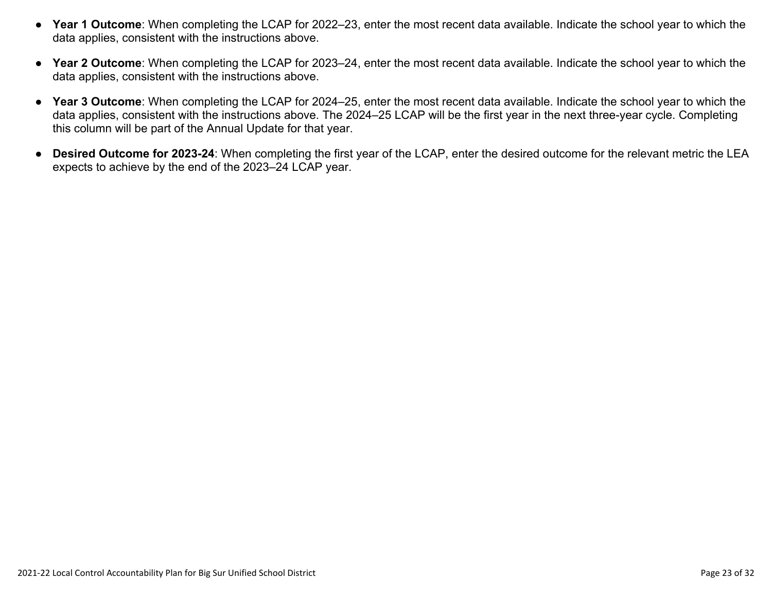- **Year 1 Outcome**: When completing the LCAP for 2022–23, enter the most recent data available. Indicate the school year to which the data applies, consistent with the instructions above.
- **Year 2 Outcome**: When completing the LCAP for 2023–24, enter the most recent data available. Indicate the school year to which the data applies, consistent with the instructions above.
- **Year 3 Outcome**: When completing the LCAP for 2024–25, enter the most recent data available. Indicate the school year to which the data applies, consistent with the instructions above. The 2024–25 LCAP will be the first year in the next three-year cycle. Completing this column will be part of the Annual Update for that year.
- **Desired Outcome for 2023-24**: When completing the first year of the LCAP, enter the desired outcome for the relevant metric the LEA expects to achieve by the end of the 2023–24 LCAP year.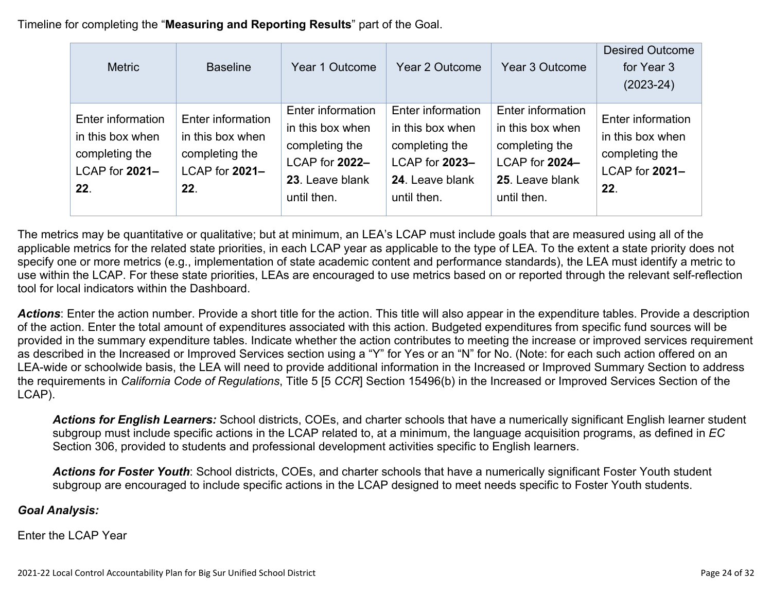Timeline for completing the "**Measuring and Reporting Results**" part of the Goal.

| <b>Metric</b>                                                                        | <b>Baseline</b>                                                                  | Year 1 Outcome                                                                                              | Year 2 Outcome                                                                                              | Year 3 Outcome                                                                                              | <b>Desired Outcome</b><br>for Year 3<br>$(2023-24)$                              |
|--------------------------------------------------------------------------------------|----------------------------------------------------------------------------------|-------------------------------------------------------------------------------------------------------------|-------------------------------------------------------------------------------------------------------------|-------------------------------------------------------------------------------------------------------------|----------------------------------------------------------------------------------|
| Enter information<br>in this box when<br>completing the<br>$LCAP$ for $2021-$<br>22. | Enter information<br>in this box when<br>completing the<br>LCAP for 2021-<br>22. | Enter information<br>in this box when<br>completing the<br>LCAP for 2022-<br>23. Leave blank<br>until then. | Enter information<br>in this box when<br>completing the<br>LCAP for 2023-<br>24. Leave blank<br>until then. | Enter information<br>in this box when<br>completing the<br>LCAP for 2024-<br>25. Leave blank<br>until then. | Enter information<br>in this box when<br>completing the<br>LCAP for 2021-<br>22. |

The metrics may be quantitative or qualitative; but at minimum, an LEA's LCAP must include goals that are measured using all of the applicable metrics for the related state priorities, in each LCAP year as applicable to the type of LEA. To the extent a state priority does not specify one or more metrics (e.g., implementation of state academic content and performance standards), the LEA must identify a metric to use within the LCAP. For these state priorities, LEAs are encouraged to use metrics based on or reported through the relevant self-reflection tool for local indicators within the Dashboard.

*Actions*: Enter the action number. Provide a short title for the action. This title will also appear in the expenditure tables. Provide a description of the action. Enter the total amount of expenditures associated with this action. Budgeted expenditures from specific fund sources will be provided in the summary expenditure tables. Indicate whether the action contributes to meeting the increase or improved services requirement as described in the Increased or Improved Services section using a "Y" for Yes or an "N" for No. (Note: for each such action offered on an LEA-wide or schoolwide basis, the LEA will need to provide additional information in the Increased or Improved Summary Section to address the requirements in *California Code of Regulations*, Title 5 [5 *CCR*] Section 15496(b) in the Increased or Improved Services Section of the LCAP).

*Actions for English Learners:* School districts, COEs, and charter schools that have a numerically significant English learner student subgroup must include specific actions in the LCAP related to, at a minimum, the language acquisition programs, as defined in *EC* Section 306, provided to students and professional development activities specific to English learners.

*Actions for Foster Youth*: School districts, COEs, and charter schools that have a numerically significant Foster Youth student subgroup are encouraged to include specific actions in the LCAP designed to meet needs specific to Foster Youth students.

### *Goal Analysis:*

Enter the LCAP Year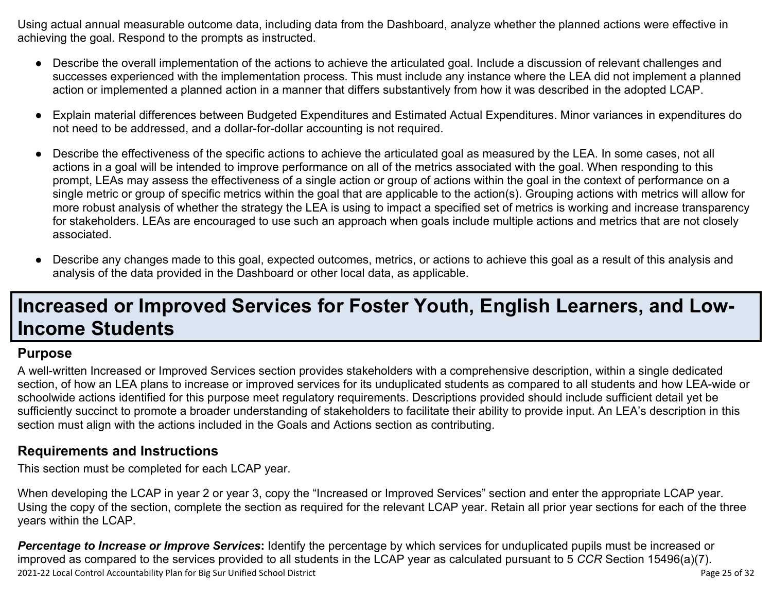Using actual annual measurable outcome data, including data from the Dashboard, analyze whether the planned actions were effective in achieving the goal. Respond to the prompts as instructed.

- Describe the overall implementation of the actions to achieve the articulated goal. Include a discussion of relevant challenges and successes experienced with the implementation process. This must include any instance where the LEA did not implement a planned action or implemented a planned action in a manner that differs substantively from how it was described in the adopted LCAP.
- Explain material differences between Budgeted Expenditures and Estimated Actual Expenditures. Minor variances in expenditures do not need to be addressed, and a dollar-for-dollar accounting is not required.
- Describe the effectiveness of the specific actions to achieve the articulated goal as measured by the LEA. In some cases, not all actions in a goal will be intended to improve performance on all of the metrics associated with the goal. When responding to this prompt, LEAs may assess the effectiveness of a single action or group of actions within the goal in the context of performance on a single metric or group of specific metrics within the goal that are applicable to the action(s). Grouping actions with metrics will allow for more robust analysis of whether the strategy the LEA is using to impact a specified set of metrics is working and increase transparency for stakeholders. LEAs are encouraged to use such an approach when goals include multiple actions and metrics that are not closely associated.
- Describe any changes made to this goal, expected outcomes, metrics, or actions to achieve this goal as a result of this analysis and analysis of the data provided in the Dashboard or other local data, as applicable.

# **Increased or Improved Services for Foster Youth, English Learners, and Low-Income Students**

### **Purpose**

A well-written Increased or Improved Services section provides stakeholders with a comprehensive description, within a single dedicated section, of how an LEA plans to increase or improved services for its unduplicated students as compared to all students and how LEA-wide or schoolwide actions identified for this purpose meet regulatory requirements. Descriptions provided should include sufficient detail yet be sufficiently succinct to promote a broader understanding of stakeholders to facilitate their ability to provide input. An LEA's description in this section must align with the actions included in the Goals and Actions section as contributing.

### **Requirements and Instructions**

This section must be completed for each LCAP year.

When developing the LCAP in year 2 or year 3, copy the "Increased or Improved Services" section and enter the appropriate LCAP year. Using the copy of the section, complete the section as required for the relevant LCAP year. Retain all prior year sections for each of the three years within the LCAP.

2021-22 Local Control Accountability Plan for Big Sur Unified School District **Page 25 of 32** and 2011-22 Local Control Accountability Plan for Big Sur Unified School District **Page 25 of 32** and 2011-22 Local Control Acco *Percentage to Increase or Improve Services***:** Identify the percentage by which services for unduplicated pupils must be increased or improved as compared to the services provided to all students in the LCAP year as calculated pursuant to 5 *CCR* Section 15496(a)(7).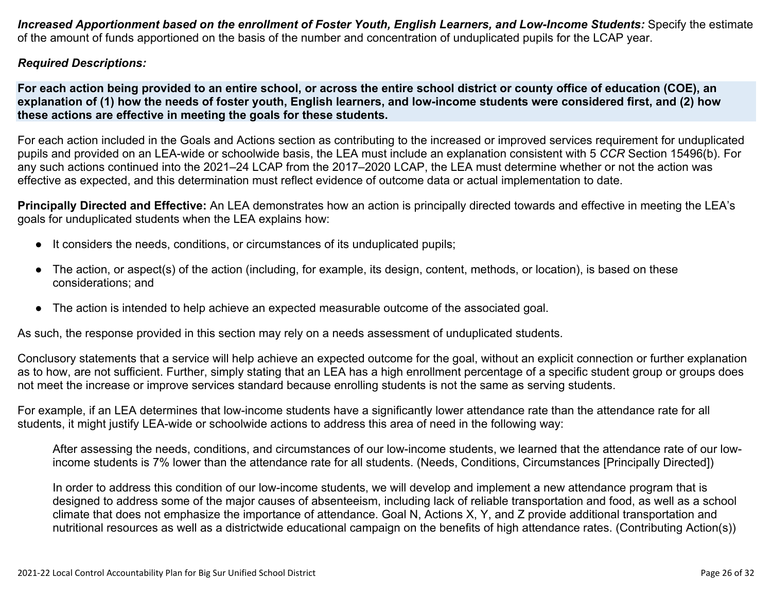Increased Apportionment based on the enrollment of Foster Youth, English Learners, and Low-Income Students: Specify the estimate of the amount of funds apportioned on the basis of the number and concentration of unduplicated pupils for the LCAP year.

#### *Required Descriptions:*

For each action being provided to an entire school, or across the entire school district or county office of education (COE), an explanation of (1) how the needs of foster youth, English learners, and low-income students were considered first, and (2) how **these actions are effective in meeting the goals for these students.**

For each action included in the Goals and Actions section as contributing to the increased or improved services requirement for unduplicated pupils and provided on an LEA-wide or schoolwide basis, the LEA must include an explanation consistent with 5 *CCR* Section 15496(b). For any such actions continued into the 2021–24 LCAP from the 2017–2020 LCAP, the LEA must determine whether or not the action was effective as expected, and this determination must reflect evidence of outcome data or actual implementation to date.

**Principally Directed and Effective:** An LEA demonstrates how an action is principally directed towards and effective in meeting the LEA's goals for unduplicated students when the LEA explains how:

- It considers the needs, conditions, or circumstances of its unduplicated pupils;
- The action, or aspect(s) of the action (including, for example, its design, content, methods, or location), is based on these considerations; and
- The action is intended to help achieve an expected measurable outcome of the associated goal.

As such, the response provided in this section may rely on a needs assessment of unduplicated students.

Conclusory statements that a service will help achieve an expected outcome for the goal, without an explicit connection or further explanation as to how, are not sufficient. Further, simply stating that an LEA has a high enrollment percentage of a specific student group or groups does not meet the increase or improve services standard because enrolling students is not the same as serving students.

For example, if an LEA determines that low-income students have a significantly lower attendance rate than the attendance rate for all students, it might justify LEA-wide or schoolwide actions to address this area of need in the following way:

After assessing the needs, conditions, and circumstances of our low-income students, we learned that the attendance rate of our lowincome students is 7% lower than the attendance rate for all students. (Needs, Conditions, Circumstances [Principally Directed])

In order to address this condition of our low-income students, we will develop and implement a new attendance program that is designed to address some of the major causes of absenteeism, including lack of reliable transportation and food, as well as a school climate that does not emphasize the importance of attendance. Goal N, Actions X, Y, and Z provide additional transportation and nutritional resources as well as a districtwide educational campaign on the benefits of high attendance rates. (Contributing Action(s))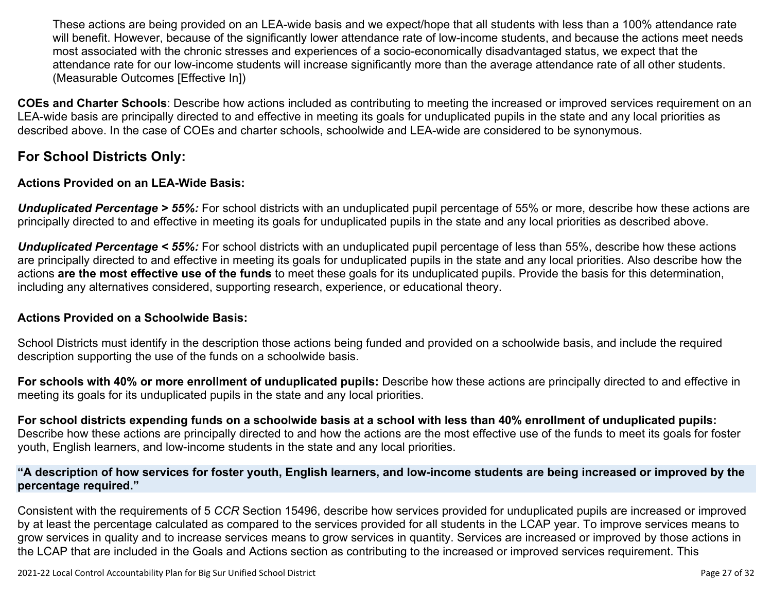These actions are being provided on an LEA-wide basis and we expect/hope that all students with less than a 100% attendance rate will benefit. However, because of the significantly lower attendance rate of low-income students, and because the actions meet needs most associated with the chronic stresses and experiences of a socio-economically disadvantaged status, we expect that the attendance rate for our low-income students will increase significantly more than the average attendance rate of all other students. (Measurable Outcomes [Effective In])

**COEs and Charter Schools**: Describe how actions included as contributing to meeting the increased or improved services requirement on an LEA-wide basis are principally directed to and effective in meeting its goals for unduplicated pupils in the state and any local priorities as described above. In the case of COEs and charter schools, schoolwide and LEA-wide are considered to be synonymous.

### **For School Districts Only:**

#### **Actions Provided on an LEA-Wide Basis:**

*Unduplicated Percentage > 55%:* For school districts with an unduplicated pupil percentage of 55% or more, describe how these actions are principally directed to and effective in meeting its goals for unduplicated pupils in the state and any local priorities as described above.

*Unduplicated Percentage < 55%:* For school districts with an unduplicated pupil percentage of less than 55%, describe how these actions are principally directed to and effective in meeting its goals for unduplicated pupils in the state and any local priorities. Also describe how the actions **are the most effective use of the funds** to meet these goals for its unduplicated pupils. Provide the basis for this determination, including any alternatives considered, supporting research, experience, or educational theory.

#### **Actions Provided on a Schoolwide Basis:**

School Districts must identify in the description those actions being funded and provided on a schoolwide basis, and include the required description supporting the use of the funds on a schoolwide basis.

**For schools with 40% or more enrollment of unduplicated pupils:** Describe how these actions are principally directed to and effective in meeting its goals for its unduplicated pupils in the state and any local priorities.

For school districts expending funds on a schoolwide basis at a school with less than 40% enrollment of unduplicated pupils: Describe how these actions are principally directed to and how the actions are the most effective use of the funds to meet its goals for foster youth, English learners, and low-income students in the state and any local priorities.

#### "A description of how services for foster youth, English learners, and low-income students are being increased or improved by the **percentage required."**

Consistent with the requirements of 5 *CCR* Section 15496, describe how services provided for unduplicated pupils are increased or improved by at least the percentage calculated as compared to the services provided for all students in the LCAP year. To improve services means to grow services in quality and to increase services means to grow services in quantity. Services are increased or improved by those actions in the LCAP that are included in the Goals and Actions section as contributing to the increased or improved services requirement. This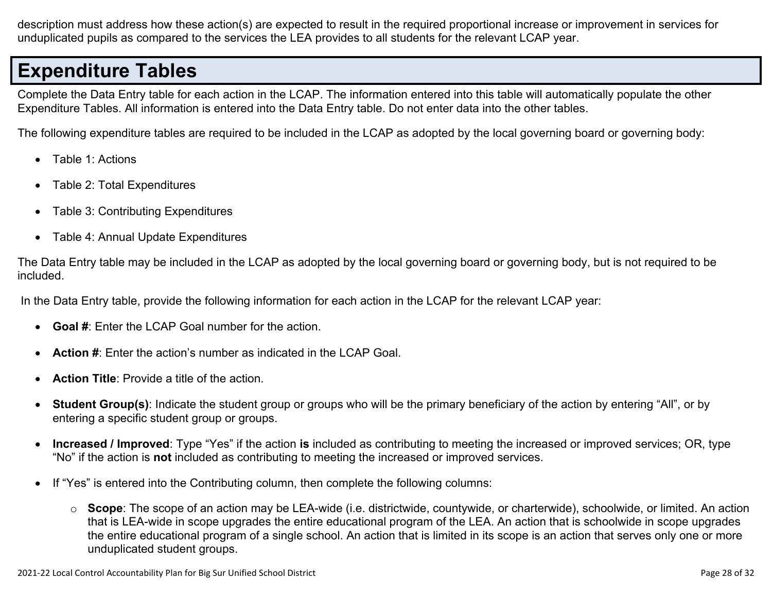description must address how these action(s) are expected to result in the required proportional increase or improvement in services for unduplicated pupils as compared to the services the LEA provides to all students for the relevant LCAP year.

# **Expenditure Tables**

Complete the Data Entry table for each action in the LCAP. The information entered into this table will automatically populate the other Expenditure Tables. All information is entered into the Data Entry table. Do not enter data into the other tables.

The following expenditure tables are required to be included in the LCAP as adopted by the local governing board or governing body:

- Table 1: Actions
- Table 2: Total Expenditures
- Table 3: Contributing Expenditures
- Table 4: Annual Update Expenditures

The Data Entry table may be included in the LCAP as adopted by the local governing board or governing body, but is not required to be included.

In the Data Entry table, provide the following information for each action in the LCAP for the relevant LCAP year:

- **Goal #**: Enter the LCAP Goal number for the action.
- **Action #**: Enter the action's number as indicated in the LCAP Goal.
- **Action Title**: Provide a title of the action.
- **Student Group(s)**: Indicate the student group or groups who will be the primary beneficiary of the action by entering "All", or by entering a specific student group or groups.
- **Increased / Improved**: Type "Yes" if the action **is** included as contributing to meeting the increased or improved services; OR, type "No" if the action is **not** included as contributing to meeting the increased or improved services.
- If "Yes" is entered into the Contributing column, then complete the following columns:
	- o **Scope**: The scope of an action may be LEA-wide (i.e. districtwide, countywide, or charterwide), schoolwide, or limited. An action that is LEA-wide in scope upgrades the entire educational program of the LEA. An action that is schoolwide in scope upgrades the entire educational program of a single school. An action that is limited in its scope is an action that serves only one or more unduplicated student groups.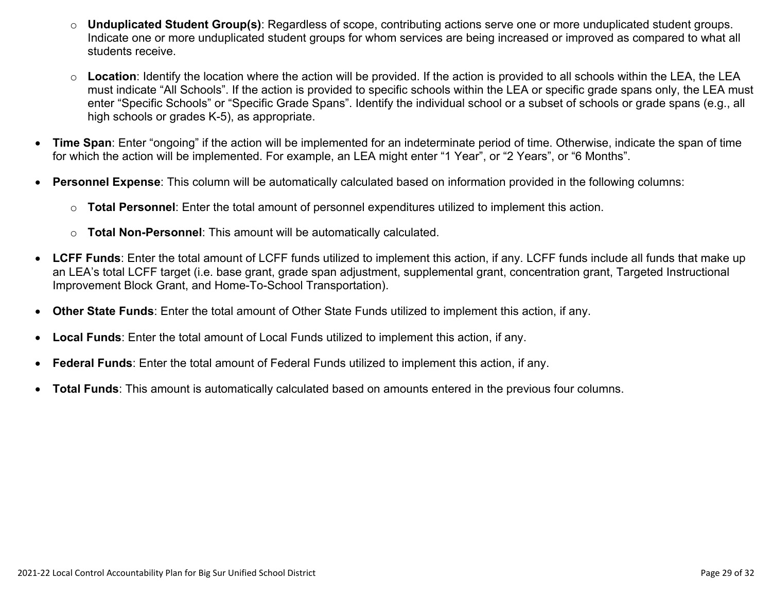- o **Unduplicated Student Group(s)**: Regardless of scope, contributing actions serve one or more unduplicated student groups. Indicate one or more unduplicated student groups for whom services are being increased or improved as compared to what all students receive.
- o **Location**: Identify the location where the action will be provided. If the action is provided to all schools within the LEA, the LEA must indicate "All Schools". If the action is provided to specific schools within the LEA or specific grade spans only, the LEA must enter "Specific Schools" or "Specific Grade Spans". Identify the individual school or a subset of schools or grade spans (e.g., all high schools or grades K-5), as appropriate.
- **Time Span**: Enter "ongoing" if the action will be implemented for an indeterminate period of time. Otherwise, indicate the span of time for which the action will be implemented. For example, an LEA might enter "1 Year", or "2 Years", or "6 Months".
- **Personnel Expense**: This column will be automatically calculated based on information provided in the following columns:
	- o **Total Personnel**: Enter the total amount of personnel expenditures utilized to implement this action.
	- o **Total Non-Personnel**: This amount will be automatically calculated.
- **LCFF Funds**: Enter the total amount of LCFF funds utilized to implement this action, if any. LCFF funds include all funds that make up an LEA's total LCFF target (i.e. base grant, grade span adjustment, supplemental grant, concentration grant, Targeted Instructional Improvement Block Grant, and Home-To-School Transportation).
- **Other State Funds**: Enter the total amount of Other State Funds utilized to implement this action, if any.
- **Local Funds**: Enter the total amount of Local Funds utilized to implement this action, if any.
- **Federal Funds**: Enter the total amount of Federal Funds utilized to implement this action, if any.
- **Total Funds**: This amount is automatically calculated based on amounts entered in the previous four columns.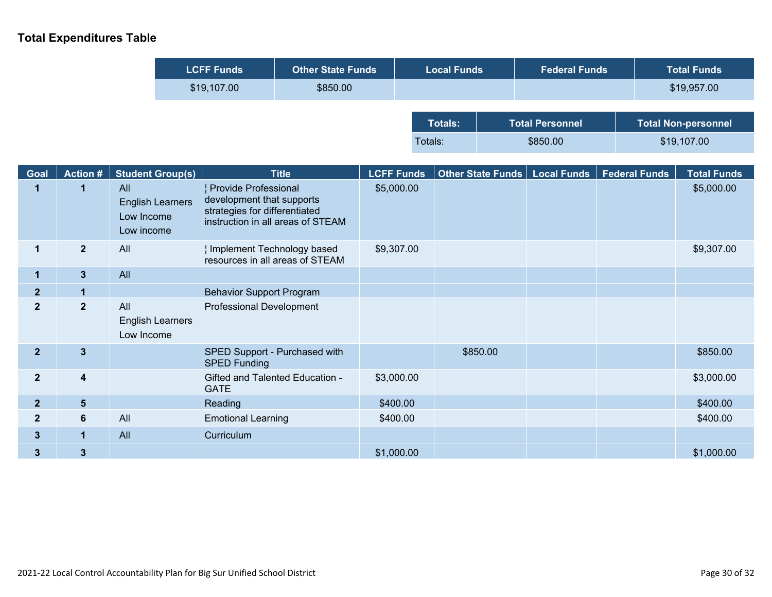### **Total Expenditures Table**

ŀ

| <b>LCFF Funds</b> | <b>Other State Funds</b> | <b>Local Funds</b> |          | <b>Federal Funds</b>   | <b>Total Funds</b>         |
|-------------------|--------------------------|--------------------|----------|------------------------|----------------------------|
| \$19,107.00       | \$850.00                 |                    |          |                        | \$19,957.00                |
|                   |                          |                    |          |                        |                            |
|                   |                          | <b>Totals:</b>     |          | <b>Total Personnel</b> | <b>Total Non-personnel</b> |
|                   |                          | Totals:            | \$850.00 |                        | \$19,107.00                |

| Goal           | Action #                | <b>Student Group(s)</b>                                    | <b>Title</b>                                                                                                            | <b>LCFF Funds</b> | Other State Funds   Local Funds | <b>Federal Funds</b> | <b>Total Funds</b> |
|----------------|-------------------------|------------------------------------------------------------|-------------------------------------------------------------------------------------------------------------------------|-------------------|---------------------------------|----------------------|--------------------|
|                |                         | All<br><b>English Learners</b><br>Low Income<br>Low income | Provide Professional<br>development that supports<br>strategies for differentiated<br>instruction in all areas of STEAM | \$5,000.00        |                                 |                      | \$5,000.00         |
| 1              | $\mathbf{2}$            | All                                                        | Implement Technology based<br>resources in all areas of STEAM                                                           | \$9,307.00        |                                 |                      | \$9,307.00         |
| $\mathbf 1$    | $\mathbf{3}$            | All                                                        |                                                                                                                         |                   |                                 |                      |                    |
| 2 <sub>2</sub> | 1                       |                                                            | <b>Behavior Support Program</b>                                                                                         |                   |                                 |                      |                    |
| $\mathbf{2}$   | $\mathbf{2}$            | All<br><b>English Learners</b><br>Low Income               | Professional Development                                                                                                |                   |                                 |                      |                    |
| 2 <sup>1</sup> | $\mathbf{3}$            |                                                            | SPED Support - Purchased with<br><b>SPED Funding</b>                                                                    |                   | \$850.00                        |                      | \$850.00           |
| $\overline{2}$ | $\overline{\mathbf{4}}$ |                                                            | Gifted and Talented Education -<br><b>GATE</b>                                                                          | \$3,000.00        |                                 |                      | \$3,000.00         |
| 2 <sup>2</sup> | $5\phantom{1}$          |                                                            | Reading                                                                                                                 | \$400.00          |                                 |                      | \$400.00           |
| $\mathbf{2}$   | $6\phantom{1}$          | All                                                        | <b>Emotional Learning</b>                                                                                               | \$400.00          |                                 |                      | \$400.00           |
| $3\phantom{a}$ | $\mathbf{1}$            | All                                                        | Curriculum                                                                                                              |                   |                                 |                      |                    |
| 3 <sup>5</sup> | $\mathbf{3}$            |                                                            |                                                                                                                         | \$1,000.00        |                                 |                      | \$1,000.00         |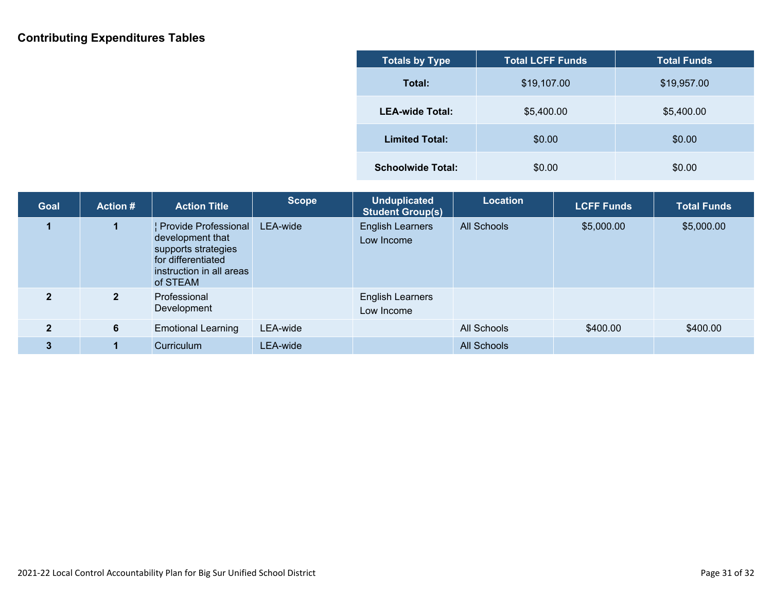### **Contributing Expenditures Tables**

| <b>Totals by Type</b>    | <b>Total LCFF Funds</b> | <b>Total Funds</b> |
|--------------------------|-------------------------|--------------------|
| Total:                   | \$19,107.00             | \$19,957.00        |
| <b>LEA-wide Total:</b>   | \$5,400.00              | \$5,400.00         |
| <b>Limited Total:</b>    | \$0.00                  | \$0.00             |
| <b>Schoolwide Total:</b> | \$0.00                  | \$0.00             |

| <b>Goal</b>    | <b>Action #</b> | <b>Action Title</b>                                                                                                           | <b>Scope</b> | <b>Unduplicated</b><br><b>Student Group(s)</b> | Location           | <b>LCFF Funds</b> | <b>Total Funds</b> |
|----------------|-----------------|-------------------------------------------------------------------------------------------------------------------------------|--------------|------------------------------------------------|--------------------|-------------------|--------------------|
|                |                 | Provide Professional<br>development that<br>supports strategies<br>for differentiated<br>instruction in all areas<br>of STEAM | LEA-wide     | <b>English Learners</b><br>Low Income          | <b>All Schools</b> | \$5,000.00        | \$5,000.00         |
| $\mathbf{2}$   | $\mathbf{2}$    | Professional<br>Development                                                                                                   |              | <b>English Learners</b><br>Low Income          |                    |                   |                    |
| $\overline{2}$ | 6               | <b>Emotional Learning</b>                                                                                                     | LEA-wide     |                                                | All Schools        | \$400.00          | \$400.00           |
| 3              |                 | Curriculum                                                                                                                    | LEA-wide     |                                                | <b>All Schools</b> |                   |                    |